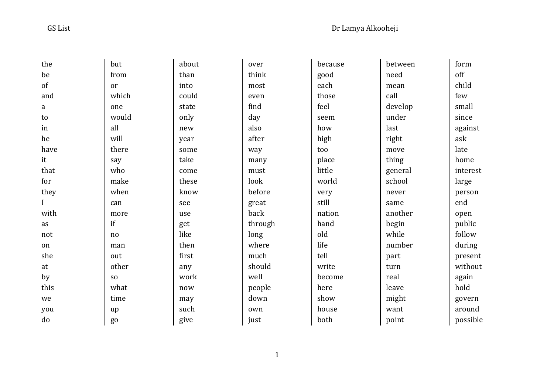| the      | but            | about | over    | because | between | form     |
|----------|----------------|-------|---------|---------|---------|----------|
| be       | from           | than  | think   | good    | need    | off      |
| of       | or             | into  | most    | each    | mean    | child    |
| and      | which          | could | even    | those   | call    | few      |
| a        | one            | state | find    | feel    | develop | small    |
| to       | would          | only  | day     | seem    | under   | since    |
| in       | all            | new   | also    | how     | last    | against  |
| he       | will           | year  | after   | high    | right   | ask      |
| have     | there          | some  | way     | too     | move    | late     |
| it       | say            | take  | many    | place   | thing   | home     |
| that     | who            | come  | must    | little  | general | interest |
| for      | make           | these | look    | world   | school  | large    |
| they     | when           | know  | before  | very    | never   | person   |
| $\bf{I}$ | can            | see   | great   | still   | same    | end      |
| with     | more           | use   | back    | nation  | another | open     |
| as       | if             | get   | through | hand    | begin   | public   |
| not      | no             | like  | long    | old     | while   | follow   |
| on       | man            | then  | where   | life    | number  | during   |
| she      | out            | first | much    | tell    | part    | present  |
| at       | other          | any   | should  | write   | turn    | without  |
| by       | S <sub>O</sub> | work  | well    | become  | real    | again    |
| this     | what           | now   | people  | here    | leave   | hold     |
| we       | time           | may   | down    | show    | might   | govern   |
| you      | up             | such  | own     | house   | want    | around   |
| do       | g <sub>o</sub> | give  | just    | both    | point   | possible |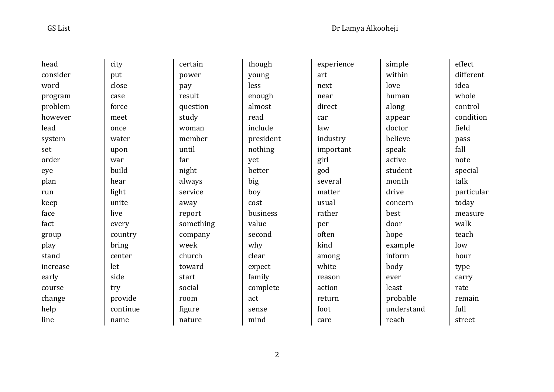| head     | city     | certain   | though    | experience | simple     | effect     |
|----------|----------|-----------|-----------|------------|------------|------------|
| consider | put      | power     | young     | art        | within     | different  |
| word     | close    | pay       | less      | next       | love       | idea       |
| program  | case     | result    | enough    | near       | human      | whole      |
| problem  | force    | question  | almost    | direct     | along      | control    |
| however  | meet     | study     | read      | car        | appear     | condition  |
| lead     | once     | woman     | include   | law        | doctor     | field      |
| system   | water    | member    | president | industry   | believe    | pass       |
| set      | upon     | until     | nothing   | important  | speak      | fall       |
| order    | war      | far       | yet       | girl       | active     | note       |
| eye      | build    | night     | better    | god        | student    | special    |
| plan     | hear     | always    | big       | several    | month      | talk       |
| run      | light    | service   | boy       | matter     | drive      | particular |
| keep     | unite    | away      | cost      | usual      | concern    | today      |
| face     | live     | report    | business  | rather     | best       | measure    |
| fact     | every    | something | value     | per        | door       | walk       |
| group    | country  | company   | second    | often      | hope       | teach      |
| play     | bring    | week      | why       | kind       | example    | low        |
| stand    | center   | church    | clear     | among      | inform     | hour       |
| increase | let      | toward    | expect    | white      | body       | type       |
| early    | side     | start     | family    | reason     | ever       | carry      |
| course   | try      | social    | complete  | action     | least      | rate       |
| change   | provide  | room      | act       | return     | probable   | remain     |
| help     | continue | figure    | sense     | foot       | understand | full       |
| line     | name     | nature    | mind      | care       | reach      | street     |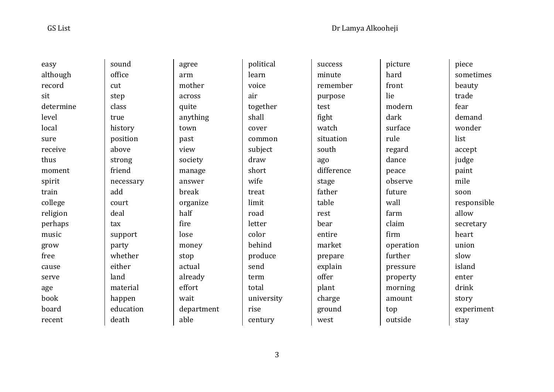sit

 easy although record determine level local sure receive thus moment spirit train college religion perhaps music grow free cause serve age book board recent sound office cut step class true history position above strong friend necessary add court deal tax support party whether either land material happen education death

 agree arm mother across quite anything town past view society manage answer break organize half fire lose money stop actual already effort wait department able

 political learn voice air together shall cover common subject draw short wife treat limit road letter color behind produce send term total university rise century

 success minute remember purpose test fight watch situation south ago difference stage father table rest bear entire market prepare explain offer plant charge ground west

 picture hard front lie modern dark surface rule regard dance peace observe future wall farm claim firm operation further pressure property morning amount top outside

 piece sometimes beauty trade fear demand wonder list accept judge paint mile soon responsible allow secretary heart union slow island enter drink story experiment stay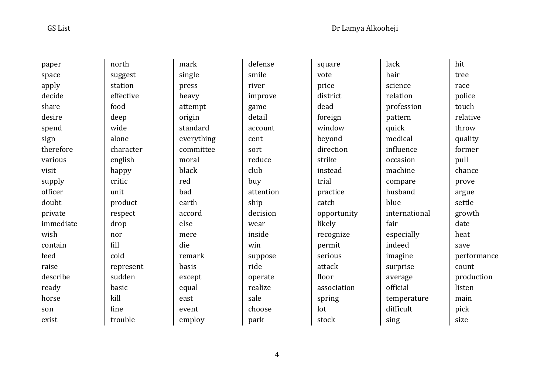paper space apply decide share desire spend sign therefore various

 visit supply officer doubt private immediate

 wish contain feed raise describe ready horse son exist

 north suggest station effective food deep wide alone character english happy critic unit product respect drop nor fill cold represent sudden basic kill fine trouble

 single heavy attempt origin standard everything committee accord remark except employ

mark

press

 moral black red bad earth

 else mere die

basis

 equal east event  defense smile river improve game detail account cent sort reduce club buy attention ship decision wear inside win suppose ride operate realize sale choose park

 square vote price district dead foreign window beyond direction strike instead trial practice catch opportunity likely recognize permit serious attack floor association spring lot stock

 lack hair science relation profession pattern quick medical influence occasion machine compare husband blue international fair especially indeed imagine surprise average official temperature difficult sing

 hit tree race police touch relative throw quality former pull chance prove argue settle growth date heat save performance count production listen main pick size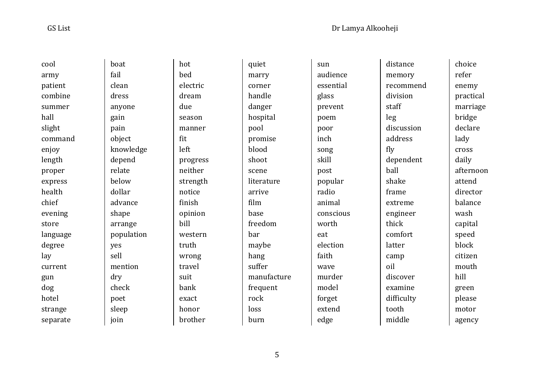cool army patient combine summer hall slight command enjoy length proper express health chief evening store language degree lay current gun dog hotel strange separate

 boat fail clean dress anyone gain pain object knowledge depend relate below dollar advance shape arrange population yes sell mention dry check poet sleep join

 hot bed electric dream due season manner

 fit left

 progress neither strength notice finish opinion bill

 western truth wrong travel suit bank exact honor brother

 quiet marry corner handle danger hospital pool promise blood shoot scene arrive film base freedom bar maybe hang suffer rock loss burn

 literature manufacture frequent

 sun audience essential glass prevent poem poor inch song skill post popular radio animal conscious worth eat election faith wave murder model forget extend edge

 distance memory recommend division staff leg discussion address fly dependent ball shake frame extreme engineer thick comfort latter camp oil discover examine difficulty tooth middle

 choice refer enemy practical marriage bridge declare lady cross daily afternoon attend director balance wash capital speed block citizen mouth hill green please motor

agency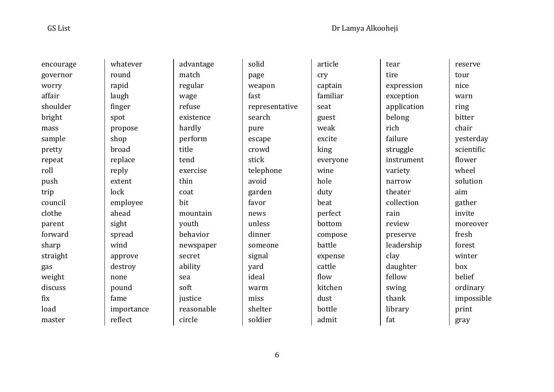encourage governor worry affair shoulder bright mass sample pretty repeat roll push trip council clothe parent forward sharp straight gas weight discuss fix load master

 whatever round rapid laugh finger spot propose shop broad replace reply extent lock employee ahead sight spread wind approve destroy none pound fame importance reflect

 advantage match regular wage refuse existence hardly perform exercise mountain youth behavior newspaper secret ability justice reasonable circle

 title tend

 thin coat bit

 sea soft

solid page weapon fast representative search pure escape crowd stick telephone avoid garden favor news unless dinner someone signal yard ideal warm miss shelter soldier

 article cry captain familiar seat guest weak excite king everyone wine hole duty beat perfect bottom compose battle expense cattle flow kitchen dust bottle admit

 tear tire expression exception application belong rich failure struggle instrument variety narrow theater collection rain review preserve leadership clay daughter fellow swing thank library fat

 reserve tour nice warn ring bitter chair yesterday scientific flower wheel solution aim gather invite moreover fresh forest winter box belief ordinary impossible print gray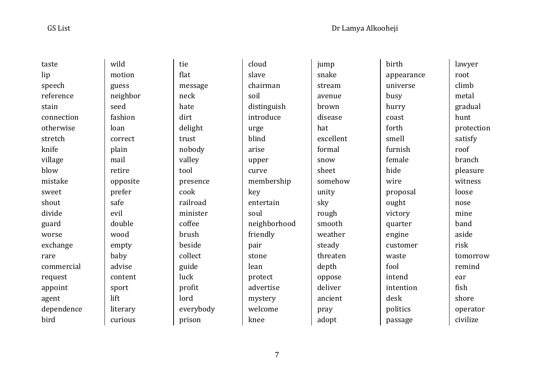taste lip speech reference stain connection otherwise stretch knife village blow mistake sweet shout divide guard worse exchange rare commercial request appoint agent dependence bird wild motion guess seed fashion loan correct plain mail retire prefer safe evil double wood empty baby advise content sport lift literary curious

 neighbor opposite tie flat message neck hate dirt delight trust nobody valley tool presence cook railroad minister coffee brush beside collect guide luck profit lord everybody prison

 soil key

 cloud slave chairman distinguish introduce urge blind arise upper curve membership entertain soul neighborhood friendly pair stone lean protect advertise mystery welcome knee

 jump snake stream avenue brown disease hat excellent formal snow sheet somehow unity sky rough smooth weather steady threaten depth oppose deliver ancient pray adopt

 birth appearance universe busy hurry coast forth smell furnish female hide wire proposal ought victory quarter engine customer waste fool intend intention desk politics passage

 lawyer root climb metal gradual hunt protection satisfy roof branch pleasure witness loose nose mine band aside risk tomorrow remind ear fish shore operator civilize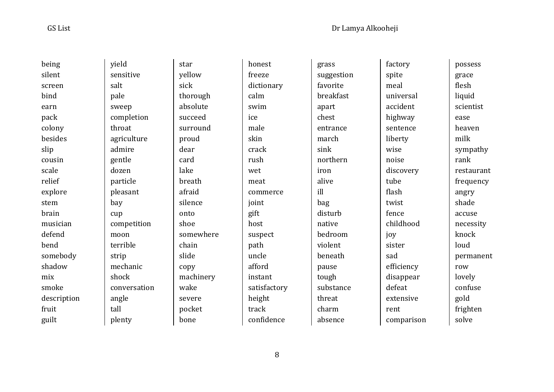being silent screen bind earn pack colony besides slip cousin scale relief explore stem brain musician defend bend somebody shadow mix smoke description fruit guilt

 yield sensitive salt pale sweep completion throat agriculture admire gentle dozen particle pleasant bay cup competition moon terrible strip mechanic shock conversation angle tall plenty

 star yellow sick

 thorough absolute succeed surround proud dear card lake breath afraid silence onto shoe

 chain slide copy

 wake severe pocket bone

machinery

 somewhere honest freeze dictionary calm swim ice male skin crack rush wet meat commerce joint gift host suspect path uncle afford instant satisfactory height track confidence

 grass suggestion favorite breakfast apart chest entrance march sink northern iron alive ill bag disturb native bedroom violent beneath pause tough substance threat charm absence

 factory spite meal universal accident highway sentence liberty wise noise discovery tube flash twist fence childhood joy sister sad efficiency disappear defeat extensive rent comparison

 possess grace flesh liquid scientist ease heaven milk sympathy rank restaurant frequency angry shade accuse necessity knock loud permanent row lovely confuse gold frighten solve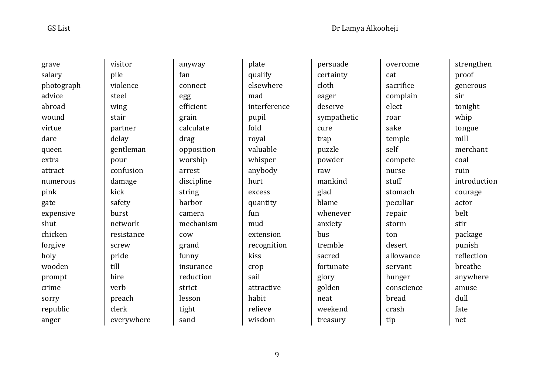grave

 salary photograph advice abroad wound virtue dare queen extra attract numerous pink gate expensive shut chicken forgive holy wooden prompt crime sorry republic anger

 visitor pile violence steel wing stair partner delay gentleman pour confusion damage kick safety burst network resistance screw pride till hire verb preach clerk everywhere  anyway connect efficient calculate opposition worship discipline camera mechanism insurance reduction

fan

egg

grain

drag

arrest

 string harbor

 cow grand funny

 strict lesson tight sand

 plate qualify elsewhere mad interference pupil fold royal valuable whisper anybody hurt excess quantity fun mud extension recognition kiss crop sail attractive habit relieve wisdom

 persuade certainty cloth eager deserve sympathetic cure trap puzzle powder raw mankind glad blame whenever anxiety bus tremble sacred fortunate glory golden neat weekend treasury

 overcome cat sacrifice complain elect roar sake temple self compete nurse stuff stomach peculiar repair storm ton desert allowance servant hunger conscience bread crash tip

 strengthen proof generous sir tonight whip tongue mill merchant coal ruin introduction courage actor belt stir package punish reflection breathe anywhere amuse dull fate net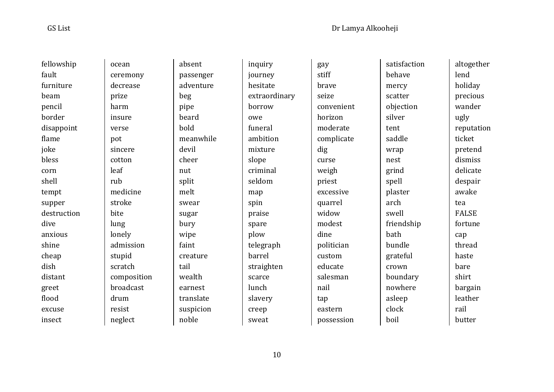fault

beam

 flame joke bless corn shell

dive

shine

dish

 greet flood

 fellowship furniture pencil border disappoint tempt supper destruction anxious cheap distant excuse insect ocean ceremony decrease prize harm insure verse pot sincere cotton leaf rub medicine stroke bite lung lonely admission stupid scratch composition broadcast drum resist neglect

 absent passenger adventure beg pipe beard bold meanwhile devil cheer nut split melt swear sugar bury wipe faint creature tail wealth earnest translate suspicion noble

 inquiry journey hesitate extraordinary borrow owe funeral ambition mixture slope criminal seldom map spin praise spare plow telegraph barrel straighten scarce lunch slavery creep sweat

 gay stiff brave seize convenient horizon moderate complicate dig curse weigh priest excessive quarrel widow modest dine politician custom educate salesman nail tap eastern possession

 satisfaction behave mercy scatter objection silver tent saddle wrap nest grind spell plaster arch swell friendship bath bundle grateful crown boundary nowhere asleep clock boil

 altogether lend holiday precious wander ugly reputation ticket pretend dismiss delicate despair awake tea FALSE fortune cap thread haste bare shirt bargain leather rail

butter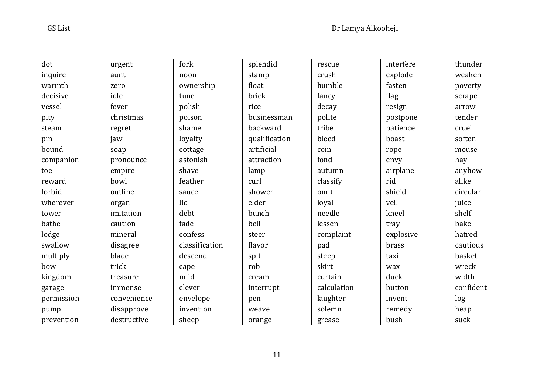dot inquire warmth decisive vessel pity steam pin bound companion toe reward forbid wherever tower bathe lodge swallow multiply bow kingdom garage permission pump prevention

 urgent aunt zero idle fever christmas regret jaw soap pronounce empire bowl outline organ imitation caution mineral disagree blade trick treasure immense convenience disapprove destructive

 fork noon

 tune polish poison shame loyalty cottage astonish shave feather sauce lid debt fade confess

ownership

classification

 descend cape mild clever envelope invention sheep

 splendid stamp float brick rice backward artificial attraction lamp curl shower elder bunch bell steer flavor spit rob cream interrupt pen weave orange

 businessman qualification

 rescue crush humble fancy decay polite tribe bleed coin fond autumn classify omit loyal needle lessen complaint pad steep skirt curtain calculation laughter solemn grease

 interfere explode fasten flag resign postpone patience boast rope envy airplane rid shield veil kneel tray explosive brass taxi wax duck button invent remedy bush

 thunder weaken poverty scrape arrow tender cruel soften mouse hay anyhow alike circular iuice shelf bake hatred cautious basket wreck width confident log heap suck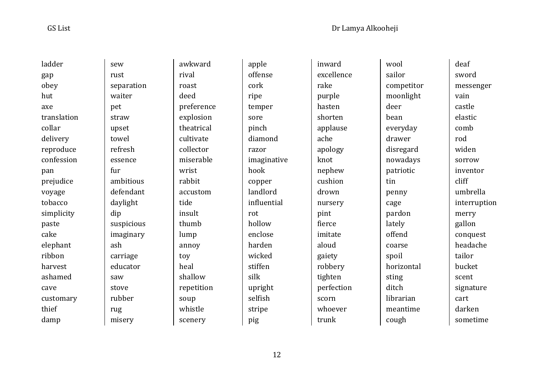ladder gap obey hut axe translation collar delivery reproduce confession pan prejudice voyage tobacco simplicity paste cake elephant ribbon harvest ashamed cave customary thief damp

 sew rust separation waiter pet straw upset towel refresh essence fur ambitious defendant daylight dip suspicious imaginary ash carriage educator saw stove rubber rug misery

 awkward rival roast deed preference explosion theatrical cultivate collector miserable wrist rabbit accustom tide insult thumb lump annoy toy heal shallow repetition soup whistle scenery

 apple offense cork ripe temper sore pinch diamond razor imaginative hook copper landlord influential rot hollow enclose harden wicked stiffen silk upright selfish stripe pig

 inward excellence rake purple hasten shorten applause ache apology knot nephew cushion drown nursery pint fierce imitate aloud gaiety robbery tighten perfection scorn whoever trunk

 wool sailor competitor moonlight deer bean everyday drawer disregard nowadays patriotic tin penny cage pardon lately offend coarse spoil horizontal sting ditch librarian meantime cough

 deaf sword messenger vain castle elastic comb rod widen sorrow inventor cliff umbrella interruption merry gallon conquest headache tailor bucket scent signature cart darken sometime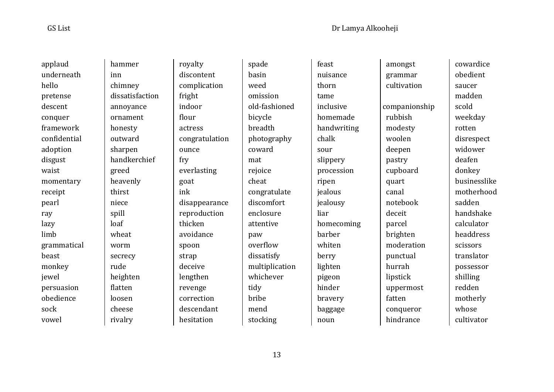applaud underneath hello pretense descent conquer framework confidential adoption disgust waist momentary receipt pearl ray lazy limb grammatical beast monkey jewel persuasion obedience sock vowel

 hammer inn chimney dissatisfaction annoyance ornament honesty outward sharpen handkerchief greed heavenly thirst niece spill loaf wheat worm secrecy rude heighten flatten loosen cheese rivalry

 royalty discontent complication fright indoor flour actress congratulation ounce fry everlasting goat ink disappearance reproduction thicken avoidance spoon strap deceive lengthen revenge correction descendant hesitation

 spade basin weed omission old-fashioned bicycle breadth photography coward mat rejoice cheat congratulate discomfort enclosure attentive paw overflow dissatisfy multiplication whichever tidy bribe mend stocking

 feast nuisance thorn tame inclusive homemade handwriting chalk sour slippery procession ripen jealous jealousy liar homecoming barber whiten berry lighten pigeon hinder bravery baggage noun

 amongst grammar cultivation companionship rubbish modesty woolen deepen pastry cupboard quart canal notebook deceit parcel brighten moderation punctual hurrah lipstick uppermost fatten conqueror hindrance

 cowardice obedient saucer madden scold weekday rotten disrespect widower deafen donkey businesslike motherhood sadden handshake calculator headdress scissors translator possessor shilling redden motherly whose cultivator